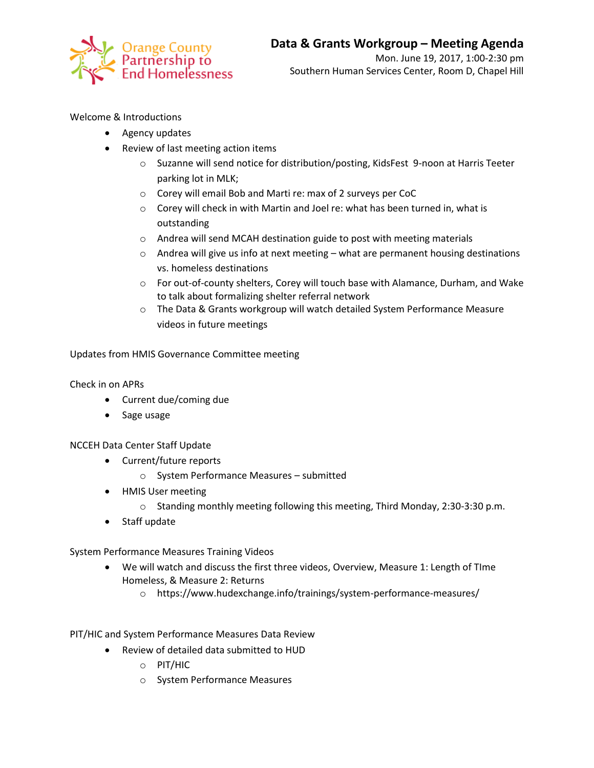

## Welcome & Introductions

- Agency updates
- Review of last meeting action items
	- o Suzanne will send notice for distribution/posting, KidsFest 9-noon at Harris Teeter parking lot in MLK;
	- o Corey will email Bob and Marti re: max of 2 surveys per CoC
	- o Corey will check in with Martin and Joel re: what has been turned in, what is outstanding
	- o Andrea will send MCAH destination guide to post with meeting materials
	- $\circ$  Andrea will give us info at next meeting what are permanent housing destinations vs. homeless destinations
	- o For out-of-county shelters, Corey will touch base with Alamance, Durham, and Wake to talk about formalizing shelter referral network
	- o The Data & Grants workgroup will watch detailed System Performance Measure videos in future meetings

Updates from HMIS Governance Committee meeting

Check in on APRs

- Current due/coming due
- Sage usage

## NCCEH Data Center Staff Update

- Current/future reports
	- o System Performance Measures submitted
- HMIS User meeting
	- o Standing monthly meeting following this meeting, Third Monday, 2:30-3:30 p.m.
- Staff update

## System Performance Measures Training Videos

- We will watch and discuss the first three videos, Overview, Measure 1: Length of TIme Homeless, & Measure 2: Returns
	- o https://www.hudexchange.info/trainings/system-performance-measures/

PIT/HIC and System Performance Measures Data Review

- Review of detailed data submitted to HUD
	- o PIT/HIC
	- o System Performance Measures